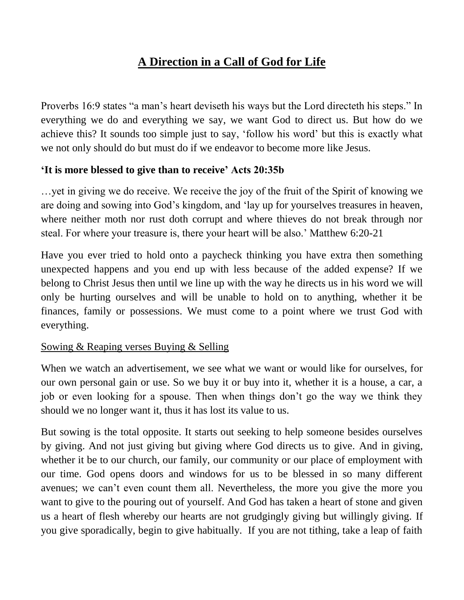## **A Direction in a Call of God for Life**

Proverbs 16:9 states "a man's heart deviseth his ways but the Lord directeth his steps." In everything we do and everything we say, we want God to direct us. But how do we achieve this? It sounds too simple just to say, 'follow his word' but this is exactly what we not only should do but must do if we endeavor to become more like Jesus.

## **'It is more blessed to give than to receive' Acts 20:35b**

…yet in giving we do receive. We receive the joy of the fruit of the Spirit of knowing we are doing and sowing into God's kingdom, and 'lay up for yourselves treasures in heaven, where neither moth nor rust doth corrupt and where thieves do not break through nor steal. For where your treasure is, there your heart will be also.' Matthew 6:20-21

Have you ever tried to hold onto a paycheck thinking you have extra then something unexpected happens and you end up with less because of the added expense? If we belong to Christ Jesus then until we line up with the way he directs us in his word we will only be hurting ourselves and will be unable to hold on to anything, whether it be finances, family or possessions. We must come to a point where we trust God with everything.

## Sowing & Reaping verses Buying & Selling

When we watch an advertisement, we see what we want or would like for ourselves, for our own personal gain or use. So we buy it or buy into it, whether it is a house, a car, a job or even looking for a spouse. Then when things don't go the way we think they should we no longer want it, thus it has lost its value to us.

But sowing is the total opposite. It starts out seeking to help someone besides ourselves by giving. And not just giving but giving where God directs us to give. And in giving, whether it be to our church, our family, our community or our place of employment with our time. God opens doors and windows for us to be blessed in so many different avenues; we can't even count them all. Nevertheless, the more you give the more you want to give to the pouring out of yourself. And God has taken a heart of stone and given us a heart of flesh whereby our hearts are not grudgingly giving but willingly giving. If you give sporadically, begin to give habitually. If you are not tithing, take a leap of faith